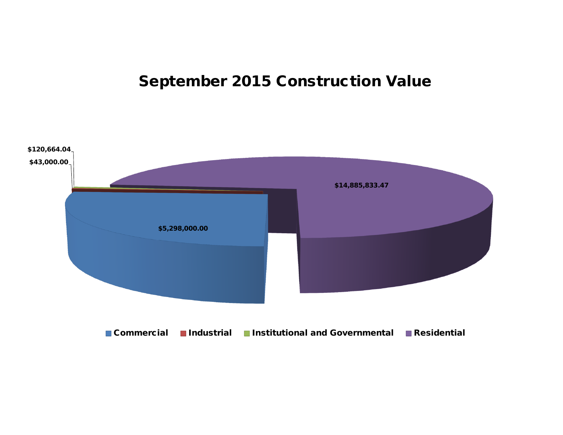# **September 2015 Construction Value**

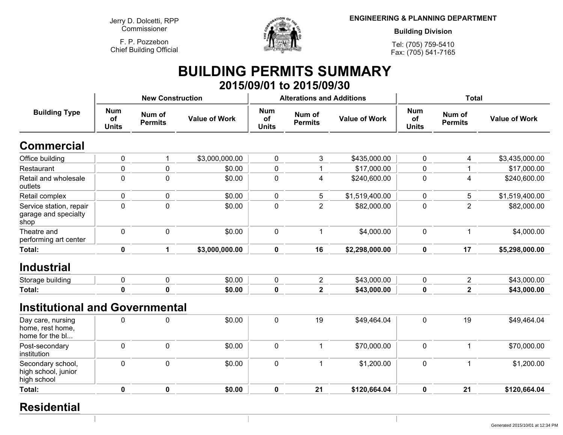**Jerry D. Dolcetti, RPPCommissioner**

**F. P. PozzebonChief Building Official**



**ENGINEERING & PLANNING DEPARTMENT**

**Building Division**

**Tel: (705) 759-5410Fax: (705) 541-7165**

#### **BUILDING PERMITS SUMMARY 2015/09/01 to 2015/09/30**

|                                                          |                                  | <b>New Construction</b>  |                      |                                         | <b>Alterations and Additions</b> |                      | <b>Total</b>                     |                                                                                                                                                |                      |  |
|----------------------------------------------------------|----------------------------------|--------------------------|----------------------|-----------------------------------------|----------------------------------|----------------------|----------------------------------|------------------------------------------------------------------------------------------------------------------------------------------------|----------------------|--|
| <b>Building Type</b>                                     | <b>Num</b><br>of<br><b>Units</b> | Num of<br><b>Permits</b> | <b>Value of Work</b> | <b>Num</b><br><b>of</b><br><b>Units</b> | Num of<br><b>Permits</b>         | <b>Value of Work</b> | <b>Num</b><br>of<br><b>Units</b> | Num of<br><b>Permits</b><br>4<br>1<br>4<br>5<br>$\overline{2}$<br>$\mathbf{1}$<br>17<br>$\overline{2}$<br>$\overline{2}$<br>19<br>$\mathbf{1}$ | <b>Value of Work</b> |  |
| <b>Commercial</b>                                        |                                  |                          |                      |                                         |                                  |                      |                                  |                                                                                                                                                |                      |  |
| Office building                                          | $\pmb{0}$                        |                          | \$3,000,000.00       | $\pmb{0}$                               | 3                                | \$435,000.00         | $\pmb{0}$                        |                                                                                                                                                | \$3,435,000.00       |  |
| Restaurant                                               | 0                                | 0                        | \$0.00               | $\pmb{0}$                               | 1                                | \$17,000.00          | $\pmb{0}$                        |                                                                                                                                                | \$17,000.00          |  |
| Retail and wholesale<br>outlets                          | $\mathbf 0$                      | 0                        | \$0.00               | $\pmb{0}$                               | 4                                | \$240,600.00         | $\mathbf 0$                      |                                                                                                                                                | \$240,600.00         |  |
| Retail complex                                           | $\pmb{0}$                        | 0                        | \$0.00               | $\mathbf 0$                             | 5                                | \$1,519,400.00       | $\mathbf 0$                      |                                                                                                                                                | \$1,519,400.00       |  |
| Service station, repair<br>garage and specialty<br>shop  | $\mathbf 0$                      | $\mathbf 0$              | \$0.00               | $\mathbf 0$                             | $\overline{2}$                   | \$82,000.00          | $\mathbf 0$                      |                                                                                                                                                | \$82,000.00          |  |
| Theatre and<br>performing art center                     | $\mathbf 0$                      | $\mathbf 0$              | \$0.00               | $\pmb{0}$                               | $\overline{1}$                   | \$4,000.00           | $\mathbf 0$                      |                                                                                                                                                | \$4,000.00           |  |
| Total:                                                   | $\mathbf 0$                      | $\mathbf{1}$             | \$3,000,000.00       | $\mathbf 0$                             | 16                               | \$2,298,000.00       | $\pmb{0}$                        |                                                                                                                                                | \$5,298,000.00       |  |
| <b>Industrial</b>                                        |                                  |                          |                      |                                         |                                  |                      |                                  |                                                                                                                                                |                      |  |
| Storage building                                         | $\mathbf 0$                      | 0                        | \$0.00               | $\pmb{0}$                               | $\overline{2}$                   | \$43,000.00          | $\mathbf 0$                      |                                                                                                                                                | \$43,000.00          |  |
| Total:                                                   | $\mathbf 0$                      | $\mathbf 0$              | \$0.00               | $\mathbf 0$                             | $\overline{2}$                   | \$43,000.00          | $\mathbf 0$                      |                                                                                                                                                | \$43,000.00          |  |
| <b>Institutional and Governmental</b>                    |                                  |                          |                      |                                         |                                  |                      |                                  |                                                                                                                                                |                      |  |
| Day care, nursing<br>home, rest home,<br>home for the bl | $\mathbf 0$                      | 0                        | \$0.00               | $\pmb{0}$                               | 19                               | \$49,464.04          | $\mathbf 0$                      |                                                                                                                                                | \$49,464.04          |  |
| Post-secondary<br>institution                            | $\mathbf 0$                      | $\mathbf 0$              | \$0.00               | $\pmb{0}$                               | $\mathbf 1$                      | \$70,000.00          | $\mathbf 0$                      |                                                                                                                                                | \$70,000.00          |  |
| Secondary school,<br>high school, junior<br>high school  | $\mathbf 0$                      | $\overline{0}$           | \$0.00               | $\mathbf 0$                             | $\mathbf{1}$                     | \$1,200.00           | $\mathbf 0$                      | $\mathbf{1}$                                                                                                                                   | \$1,200.00           |  |
| Total:                                                   | $\mathbf 0$                      | $\mathbf 0$              | \$0.00               | $\mathbf 0$                             | 21                               | \$120,664.04         | $\mathbf 0$                      | 21                                                                                                                                             | \$120,664.04         |  |
|                                                          |                                  |                          |                      |                                         |                                  |                      |                                  |                                                                                                                                                |                      |  |

#### **Residential**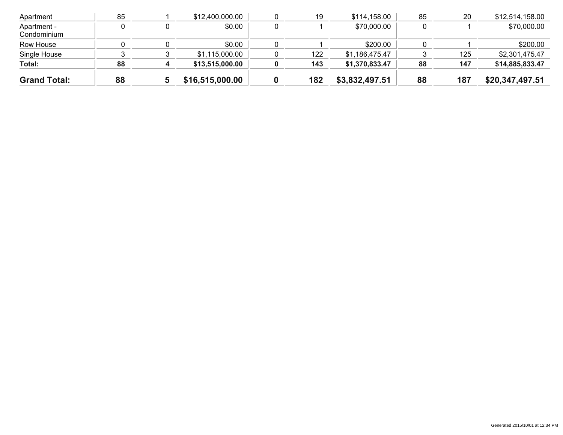| <b>Grand Total:</b>        | 88 | \$16,515,000.00 | 182 | \$3,832,497.51 | 88 | 187 | \$20,347,497.51 |
|----------------------------|----|-----------------|-----|----------------|----|-----|-----------------|
| Total:                     | 88 | \$13,515,000.00 | 143 | \$1,370,833.47 | 88 | 147 | \$14,885,833.47 |
| Single House               |    | \$1,115,000.00  | 122 | \$1.186.475.47 |    | 125 | \$2,301.475.47  |
| Row House                  |    | \$0.00          |     | \$200.00       |    |     | \$200.00        |
| Apartment -<br>Condominium |    | \$0.00          |     | \$70,000.00    |    |     | \$70,000.00     |
| Apartment                  | 85 | \$12,400,000.00 | 19  | \$114,158.00   | 85 | 20  | \$12,514,158.00 |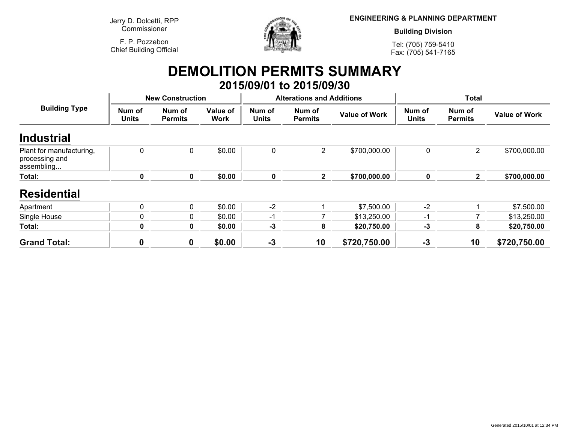**Jerry D. Dolcetti, RPPCommissioner**

**F. P. PozzebonChief Building Official**



**ENGINEERING & PLANNING DEPARTMENT**

**Building Division**

**Tel: (705) 759-5410Fax: (705) 541-7165**

#### **DEMOLITION PERMITS SUMMARY 2015/09/01 to 2015/09/30**

|                                                          |                        | <b>New Construction</b>  |                         |                        | <b>Alterations and Additions</b> |                      |                        | <b>Total</b>             |                      |
|----------------------------------------------------------|------------------------|--------------------------|-------------------------|------------------------|----------------------------------|----------------------|------------------------|--------------------------|----------------------|
| <b>Building Type</b>                                     | Num of<br><b>Units</b> | Num of<br><b>Permits</b> | Value of<br><b>Work</b> | Num of<br><b>Units</b> | Num of<br><b>Permits</b>         | <b>Value of Work</b> | Num of<br><b>Units</b> | Num of<br><b>Permits</b> | <b>Value of Work</b> |
| <b>Industrial</b>                                        |                        |                          |                         |                        |                                  |                      |                        |                          |                      |
| Plant for manufacturing,<br>processing and<br>assembling | 0                      | 0                        | \$0.00                  | 0                      | $\overline{2}$                   | \$700,000.00         | 0                      | $\overline{2}$           | \$700,000.00         |
| Total:                                                   | 0                      | $\boldsymbol{0}$         | \$0.00                  | 0                      | $\mathbf{2}$                     | \$700,000.00         | $\mathbf 0$            | $\mathbf{2}$             | \$700,000.00         |
| <b>Residential</b>                                       |                        |                          |                         |                        |                                  |                      |                        |                          |                      |
| Apartment                                                | $\mathbf 0$            | 0                        | \$0.00                  | $-2$                   |                                  | \$7,500.00           | $-2$                   |                          | \$7,500.00           |
| Single House                                             |                        | 0                        | \$0.00                  | -1                     |                                  | \$13,250.00          | -1                     |                          | \$13,250.00          |
| Total:                                                   | 0                      | $\boldsymbol{0}$         | \$0.00                  | $-3$                   | 8                                | \$20,750.00          | $-3$                   | 8                        | \$20,750.00          |
| <b>Grand Total:</b>                                      |                        | $\boldsymbol{0}$         | \$0.00                  | $-3$                   | 10                               | \$720,750.00         | $-3$                   | 10                       | \$720,750.00         |